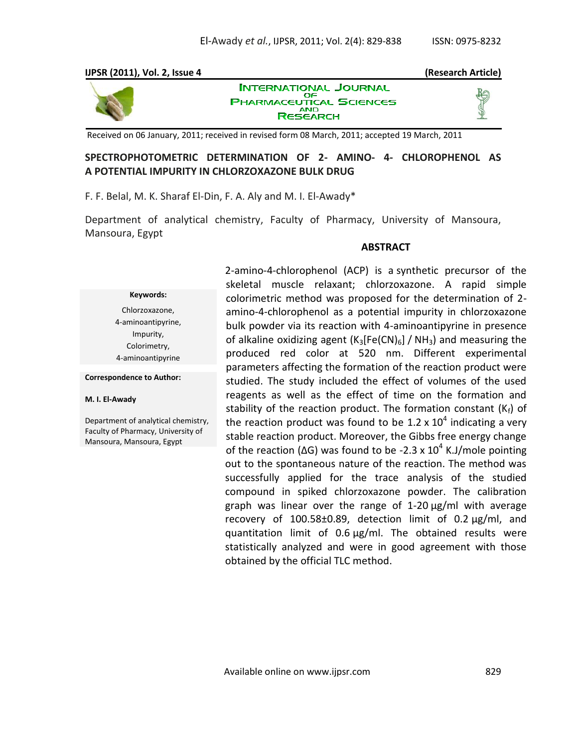## **IJPSR (2011), Vol. 2, Issue 4 (Research Article) INTERNATIONAL JOURNAL**



ΟF **PHARMACEUTICAL SCIENCES AND RESEARCH** 

Received on 06 January, 2011; received in revised form 08 March, 2011; accepted 19 March, 2011

# **SPECTROPHOTOMETRIC DETERMINATION OF 2- AMINO- 4- CHLOROPHENOL AS A POTENTIAL IMPURITY IN CHLORZOXAZONE BULK DRUG**

F. F. Belal, M. K. Sharaf El-Din, F. A. Aly and M. I. El-Awady\*

Department of analytical chemistry, Faculty of Pharmacy, University of Mansoura, Mansoura, Egypt

### **ABSTRACT**

### **Keywords:**

Chlorzoxazone, 4-aminoantipyrine, Impurity, Colorimetry, 4-aminoantipyrine

#### **Correspondence to Author:**

#### **M. I. El-Awady**

Department of analytical chemistry, Faculty of Pharmacy, University of Mansoura, Mansoura, Egypt

2-amino-4-chlorophenol (ACP) is a synthetic precursor of the skeletal muscle relaxant; chlorzoxazone. A rapid simple colorimetric method was proposed for the determination of 2 amino-4-chlorophenol as a potential impurity in chlorzoxazone bulk powder via its reaction with 4-aminoantipyrine in presence of alkaline oxidizing agent  $(K_3[Fe(CN)_6] / NH_3)$  and measuring the produced red color at 520 nm. Different experimental parameters affecting the formation of the reaction product were studied. The study included the effect of volumes of the used reagents as well as the effect of time on the formation and stability of the reaction product. The formation constant  $(K_f)$  of the reaction product was found to be 1.2 x 10<sup>4</sup> indicating a very stable reaction product. Moreover, the Gibbs free energy change of the reaction ( $\Delta G$ ) was found to be -2.3 x 10<sup>4</sup> K.J/mole pointing out to the spontaneous nature of the reaction. The method was successfully applied for the trace analysis of the studied compound in spiked chlorzoxazone powder. The calibration graph was linear over the range of 1-20 µg/ml with average recovery of 100.58±0.89, detection limit of 0.2 µg/ml, and quantitation limit of 0.6 µg/ml. The obtained results were statistically analyzed and were in good agreement with those obtained by the official TLC method.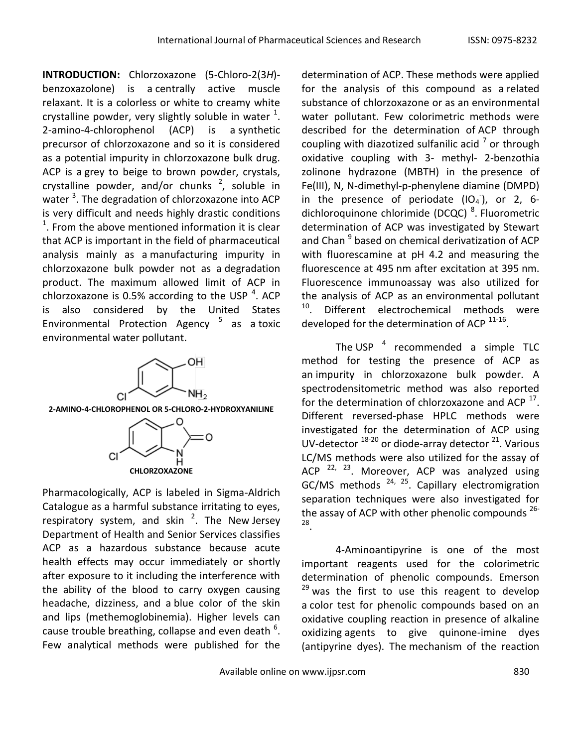**INTRODUCTION:** Chlorzoxazone (5-Chloro-2(3*H*) benzoxazolone) is a centrally active muscle relaxant. It is a colorless or white to creamy white crystalline powder, very slightly soluble in water  $^1$ . 2-amino-4-chlorophenol (ACP) is a synthetic precursor of chlorzoxazone and so it is considered as a potential impurity in chlorzoxazone bulk drug. ACP is a grey to beige to brown powder, crystals, crystalline powder, and/or chunks  $2$ , soluble in water <sup>3</sup>. The degradation of chlorzoxazone into ACP is very difficult and needs highly drastic conditions  $1$ . From the above mentioned information it is clear that ACP is important in the field of pharmaceutical analysis mainly as a manufacturing impurity in chlorzoxazone bulk powder not as a degradation product. The maximum allowed limit of ACP in chlorzoxazone is 0.5% according to the USP  $^4$ . ACP is also considered by the United States Environmental Protection Agency <sup>5</sup> as a toxic environmental water pollutant.



**2-AMINO-4-CHLOROPHENOL OR 5-CHLORO-2-HYDROXYANILINE**



Pharmacologically, ACP is labeled in Sigma-Aldrich Catalogue as a harmful substance irritating to eyes, respiratory system, and skin  $^2$ . The New Jersey Department of Health and Senior Services classifies ACP as a hazardous substance because acute health effects may occur immediately or shortly after exposure to it including the interference with the ability of the blood to carry oxygen causing headache, dizziness, and a blue color of the skin and lips (methemoglobinemia). Higher levels can cause trouble breathing, collapse and even death  $^6$ . Few analytical methods were published for the

determination of ACP. These methods were applied for the analysis of this compound as a related substance of chlorzoxazone or as an environmental water pollutant. Few colorimetric methods were described for the determination of ACP through coupling with diazotized sulfanilic acid  $^7$  or through oxidative coupling with 3- methyl- 2-benzothia zolinone hydrazone (MBTH) in the presence of Fe(III), N, N-dimethyl-p-phenylene diamine (DMPD) in the presence of periodate  $(IO_4^-)$ , or 2, 6dichloroquinone chlorimide (DCQC) <sup>8</sup>. Fluorometric determination of ACP was investigated by Stewart and Chan <sup>9</sup> based on chemical derivatization of ACP with fluorescamine at pH 4.2 and measuring the fluorescence at 495 nm after excitation at 395 nm. Fluorescence immunoassay was also utilized for the analysis of ACP as an environmental pollutant <sup>10</sup>. Different electrochemical methods were developed for the determination of ACP  $11-16$ .

The USP  $4$  recommended a simple TLC method for testing the presence of ACP as an impurity in chlorzoxazone bulk powder. A spectrodensitometric method was also reported for the determination of chlorzoxazone and ACP  $^{17}$ . Different reversed-phase HPLC methods were investigated for the determination of ACP using UV-detector  $^{18-20}$  or diode-array detector  $^{21}$ . Various LC/MS methods were also utilized for the assay of ACP  $^{22, 23}$ . Moreover, ACP was analyzed using GC/MS methods  $24, 25$ . Capillary electromigration separation techniques were also investigated for the assay of ACP with other phenolic compounds <sup>26-</sup> 28 .

4-Aminoantipyrine is one of the most important reagents used for the colorimetric determination of phenolic compounds. Emerson <sup>29</sup> was the first to use this reagent to develop a color test for phenolic compounds based on an oxidative coupling reaction in presence of alkaline oxidizing agents to give quinone-imine dyes (antipyrine dyes). The mechanism of the reaction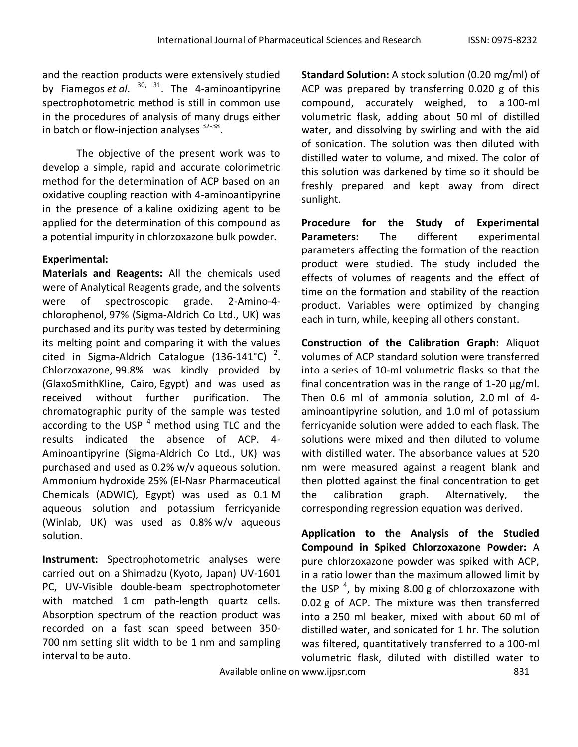and the reaction products were extensively studied by Fiamegos *et al*. 30, <sup>31</sup>. The 4-aminoantipyrine spectrophotometric method is still in common use in the procedures of analysis of many drugs either in batch or flow-injection analyses <sup>32-38</sup>.

The objective of the present work was to develop a simple, rapid and accurate colorimetric method for the determination of ACP based on an oxidative coupling reaction with 4-aminoantipyrine in the presence of alkaline oxidizing agent to be applied for the determination of this compound as a potential impurity in chlorzoxazone bulk powder.

# **Experimental:**

**Materials and Reagents:** All the chemicals used were of Analytical Reagents grade, and the solvents were of spectroscopic grade. 2-Amino-4 chlorophenol, 97% (Sigma-Aldrich Co Ltd., UK) was purchased and its purity was tested by determining its melting point and comparing it with the values cited in Sigma-Aldrich Catalogue (136-141°C)<sup>2</sup>. Chlorzoxazone, 99.8% was kindly provided by (GlaxoSmithKline, Cairo, Egypt) and was used as received without further purification. The chromatographic purity of the sample was tested according to the USP  $<sup>4</sup>$  method using TLC and the</sup> results indicated the absence of ACP. 4- Aminoantipyrine (Sigma-Aldrich Co Ltd., UK) was purchased and used as 0.2% w/v aqueous solution. Ammonium hydroxide 25% (El-Nasr Pharmaceutical Chemicals (ADWIC), Egypt) was used as 0.1 M aqueous solution and potassium ferricyanide (Winlab, UK) was used as 0.8% w/v aqueous solution.

**Instrument:** Spectrophotometric analyses were carried out on a Shimadzu (Kyoto, Japan) UV-1601 PC, UV-Visible double-beam spectrophotometer with matched 1 cm path-length quartz cells. Absorption spectrum of the reaction product was recorded on a fast scan speed between 350- 700 nm setting slit width to be 1 nm and sampling interval to be auto.

**Standard Solution:** A stock solution (0.20 mg/ml) of ACP was prepared by transferring 0.020 g of this compound, accurately weighed, to a 100-ml volumetric flask, adding about 50 ml of distilled water, and dissolving by swirling and with the aid of sonication. The solution was then diluted with distilled water to volume, and mixed. The color of this solution was darkened by time so it should be freshly prepared and kept away from direct sunlight.

**Procedure for the Study of Experimental Parameters:** The different experimental parameters affecting the formation of the reaction product were studied. The study included the effects of volumes of reagents and the effect of time on the formation and stability of the reaction product. Variables were optimized by changing each in turn, while, keeping all others constant.

**Construction of the Calibration Graph:** Aliquot volumes of ACP standard solution were transferred into a series of 10-ml volumetric flasks so that the final concentration was in the range of  $1-20 \mu g/ml$ . Then 0.6 ml of ammonia solution, 2.0 ml of 4 aminoantipyrine solution, and 1.0 ml of potassium ferricyanide solution were added to each flask. The solutions were mixed and then diluted to volume with distilled water. The absorbance values at 520 nm were measured against a reagent blank and then plotted against the final concentration to get the calibration graph. Alternatively, the corresponding regression equation was derived.

**Application to the Analysis of the Studied Compound in Spiked Chlorzoxazone Powder:** A pure chlorzoxazone powder was spiked with ACP, in a ratio lower than the maximum allowed limit by the USP  $^4$ , by mixing 8.00 g of chlorzoxazone with 0.02 g of ACP. The mixture was then transferred into a 250 ml beaker, mixed with about 60 ml of distilled water, and sonicated for 1 hr. The solution was filtered, quantitatively transferred to a 100-ml volumetric flask, diluted with distilled water to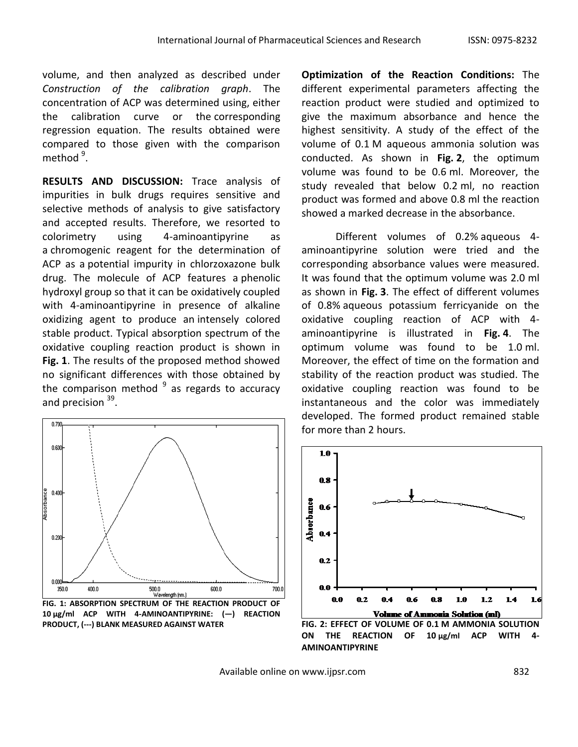volume, and then analyzed as described under *Construction of the calibration graph*. The concentration of ACP was determined using, either the calibration curve or the corresponding regression equation. The results obtained were compared to those given with the comparison method <sup>9</sup>.

**RESULTS AND DISCUSSION:** Trace analysis of impurities in bulk drugs requires sensitive and selective methods of analysis to give satisfactory and accepted results. Therefore, we resorted to colorimetry using 4-aminoantipyrine as a chromogenic reagent for the determination of ACP as a potential impurity in chlorzoxazone bulk drug. The molecule of ACP features a phenolic hydroxyl group so that it can be oxidatively coupled with 4-aminoantipyrine in presence of alkaline oxidizing agent to produce an intensely colored stable product. Typical absorption spectrum of the oxidative coupling reaction product is shown in **Fig. 1**. The results of the proposed method showed no significant differences with those obtained by the comparison method  $9$  as regards to accuracy and precision <sup>39</sup>.



**PRODUCT, (---) BLANK MEASURED AGAINST WATER**

**Optimization of the Reaction Conditions:** The different experimental parameters affecting the reaction product were studied and optimized to give the maximum absorbance and hence the highest sensitivity. A study of the effect of the volume of 0.1 M aqueous ammonia solution was conducted. As shown in **Fig. 2**, the optimum volume was found to be 0.6 ml. Moreover, the study revealed that below 0.2 ml, no reaction product was formed and above 0.8 ml the reaction showed a marked decrease in the absorbance.

Different volumes of 0.2% aqueous 4 aminoantipyrine solution were tried and the corresponding absorbance values were measured. It was found that the optimum volume was 2.0 ml as shown in **Fig. 3**. The effect of different volumes of 0.8% aqueous potassium ferricyanide on the oxidative coupling reaction of ACP with 4 aminoantipyrine is illustrated in **Fig. 4**. The optimum volume was found to be 1.0 ml. Moreover, the effect of time on the formation and stability of the reaction product was studied. The oxidative coupling reaction was found to be instantaneous and the color was immediately developed. The formed product remained stable for more than 2 hours.



ON THE REACTION OF 10 µg/ml ACP WITH **AMINOANTIPYRINE**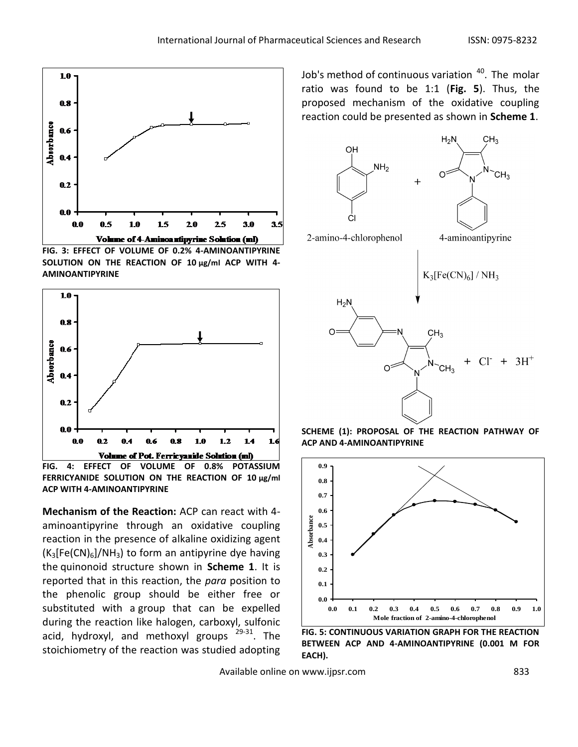

**FIG. 3: EFFECT OF VOLUME OF 0.2% 4-AMINOANTIPYRINE SOLUTION ON THE REACTION OF 10 µg/ml ACP WITH 4- AMINOANTIPYRINE**



**FIG. 4: EFFECT OF VOLUME OF 0.8% POTASSIUM FERRICYANIDE SOLUTION ON THE REACTION OF 10 µg/ml ACP WITH 4-AMINOANTIPYRINE**

**Mechanism of the Reaction:** ACP can react with 4 aminoantipyrine through an oxidative coupling reaction in the presence of alkaline oxidizing agent  $(K_3[Fe(CN)_6]/NH_3)$  to form an antipyrine dye having the quinonoid structure shown in **Scheme 1**. It is reported that in this reaction, the *para* position to the phenolic group should be either free or substituted with a group that can be expelled during the reaction like halogen, carboxyl, sulfonic acid, hydroxyl, and methoxyl groups <sup>29-31</sup>. The stoichiometry of the reaction was studied adopting

Job's method of continuous variation <sup>40</sup>. The molar ratio was found to be 1:1 (**Fig. 5**). Thus, the proposed mechanism of the oxidative coupling reaction could be presented as shown in **Scheme 1**.







**FIG. 5: CONTINUOUS VARIATION GRAPH FOR THE REACTION BETWEEN ACP AND 4-AMINOANTIPYRINE (0.001 M FOR EACH).**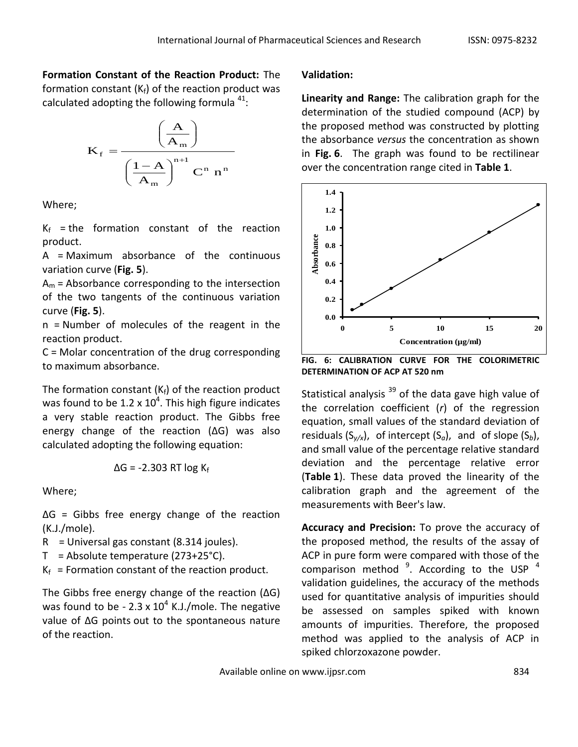# **Formation Constant of the Reaction Product:** The

formation constant  $(K_f)$  of the reaction product was calculated adopting the following formula  $^{41}$ :



Where;

 $K_f$  = the formation constant of the reaction product.

A = Maximum absorbance of the continuous variation curve (**Fig. 5**).

 $A_m$  = Absorbance corresponding to the intersection of the two tangents of the continuous variation curve (**Fig. 5**).

n = Number of molecules of the reagent in the reaction product.

C = Molar concentration of the drug corresponding to maximum absorbance.

The formation constant  $(K_f)$  of the reaction product was found to be 1.2 x 10<sup>4</sup>. This high figure indicates a very stable reaction product. The Gibbs free energy change of the reaction (ΔG) was also calculated adopting the following equation:

$$
\Delta G = -2.303 \text{ RT log K}_{f}
$$

Where;

ΔG = Gibbs free energy change of the reaction (K.J./mole).

- $R =$  Universal gas constant (8.314 joules).
- $T =$  Absolute temperature (273+25°C).
- $K_f$  = Formation constant of the reaction product.

The Gibbs free energy change of the reaction (ΔG) was found to be - 2.3 x  $10^4$  K.J./mole. The negative value of ΔG points out to the spontaneous nature of the reaction.

# **Validation:**

**Linearity and Range:** The calibration graph for the determination of the studied compound (ACP) by the proposed method was constructed by plotting the absorbance *versus* the concentration as shown in **Fig. 6**. The graph was found to be rectilinear over the concentration range cited in **Table 1**.



**FIG. 6: CALIBRATION CURVE FOR THE COLORIMETRIC DETERMINATION OF ACP AT 520 nm**

Statistical analysis  $39$  of the data gave high value of the correlation coefficient (*r*) of the regression equation, small values of the standard deviation of residuals (S*y/x*), of intercept (S*a*), and of slope (S*b*), and small value of the percentage relative standard deviation and the percentage relative error (**Table 1**). These data proved the linearity of the calibration graph and the agreement of the measurements with Beer's law.

**Accuracy and Precision:** To prove the accuracy of the proposed method, the results of the assay of ACP in pure form were compared with those of the comparison method  $9$ . According to the USP  $4$ validation guidelines, the accuracy of the methods used for quantitative analysis of impurities should be assessed on samples spiked with known amounts of impurities. Therefore, the proposed method was applied to the analysis of ACP in spiked chlorzoxazone powder.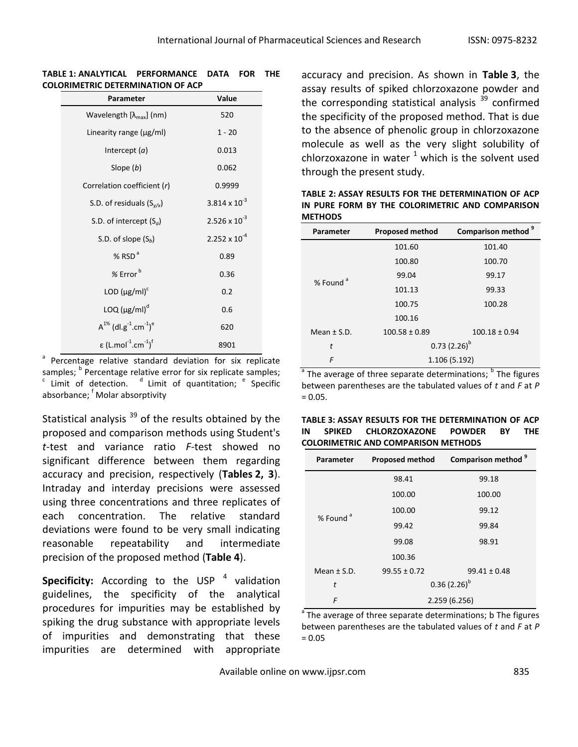#### **TABLE 1: ANALYTICAL PERFORMANCE DATA FOR THE COLORIMETRIC DETERMINATION OF ACP**

| Parameter                                                        | Value                  |
|------------------------------------------------------------------|------------------------|
| Wavelength $[\lambda_{\text{max}}]$ (nm)                         | 520                    |
| Linearity range (µg/ml)                                          | $1 - 20$               |
| Intercept $(a)$                                                  | 0.013                  |
| Slope $(b)$                                                      | 0.062                  |
| Correlation coefficient (r)                                      | 0.9999                 |
| S.D. of residuals $(S_{y/x})$                                    | $3.814 \times 10^{-3}$ |
| S.D. of intercept $(S_a)$                                        | $2.526 \times 10^{-3}$ |
| S.D. of slope $(S_h)$                                            | $2.252 \times 10^{-4}$ |
| % $RSDa$                                                         | 0.89                   |
| $%$ Error $b$                                                    | 0.36                   |
| LOD $(\mu g/ml)^c$                                               | 0.2                    |
| $LOQ ( \mu g/ml )^d$                                             | 0.6                    |
| $A^{1\%}$ (dl.g <sup>-1</sup> .cm <sup>-1</sup> ) <sup>e</sup>   | 620                    |
| $\epsilon$ (L.mol <sup>-1</sup> .cm <sup>-1</sup> ) <sup>f</sup> | 8901                   |

a Percentage relative standard deviation for six replicate samples; <sup>b</sup> Percentage relative error for six replicate samples;  $\cdot$  Limit of detection.  $\cdot$  Limit of quantitation;  $\cdot$  Specific absorbance; <sup>f</sup> Molar absorptivity

Statistical analysis  $39$  of the results obtained by the proposed and comparison methods using Student's *t*-test and variance ratio *F*-test showed no significant difference between them regarding accuracy and precision, respectively (**Tables 2, 3**). Intraday and interday precisions were assessed using three concentrations and three replicates of each concentration. The relative standard deviations were found to be very small indicating reasonable repeatability and intermediate precision of the proposed method (**Table 4**).

**Specificity:** According to the USP<sup>4</sup> validation guidelines, the specificity of the analytical procedures for impurities may be established by spiking the drug substance with appropriate levels of impurities and demonstrating that these impurities are determined with appropriate

accuracy and precision. As shown in **Table 3**, the assay results of spiked chlorzoxazone powder and the corresponding statistical analysis  $39$  confirmed the specificity of the proposed method. That is due to the absence of phenolic group in chlorzoxazone molecule as well as the very slight solubility of chlorzoxazone in water  $^1$  which is the solvent used through the present study.

| <b>METHODS</b>       |                        |                                |  |  |
|----------------------|------------------------|--------------------------------|--|--|
| Parameter            | <b>Proposed method</b> | Comparison method <sup>9</sup> |  |  |
| % Found <sup>a</sup> | 101.60                 | 101.40                         |  |  |
|                      | 100.80                 | 100.70                         |  |  |
|                      | 99.04                  | 99.17                          |  |  |
|                      | 101.13                 | 99.33                          |  |  |
|                      | 100.75                 | 100.28                         |  |  |
|                      | 100.16                 |                                |  |  |
| Mean $\pm$ S.D.      | $100.58 \pm 0.89$      | $100.18 \pm 0.94$              |  |  |
| t                    |                        | $0.73(2.26)^{b}$               |  |  |
| F                    |                        | 1.106 (5.192)                  |  |  |

**TABLE 2: ASSAY RESULTS FOR THE DETERMINATION OF ACP IN PURE FORM BY THE COLORIMETRIC AND COMPARISON** 

a The average of three separate determinations; <sup>b</sup> The figures between parentheses are the tabulated values of *t* and *F* at *P*  $= 0.05.$ 

|    | TABLE 3: ASSAY RESULTS FOR THE DETERMINATION OF ACP |  |                             |      |            |
|----|-----------------------------------------------------|--|-----------------------------|------|------------|
| IN | SPIKED                                              |  | <b>CHLORZOXAZONE POWDER</b> | - RY | <b>THE</b> |
|    | <b>COLORIMETRIC AND COMPARISON METHODS</b>          |  |                             |      |            |

| Parameter            | Proposed method  | Comparison method <sup>9</sup> |  |
|----------------------|------------------|--------------------------------|--|
|                      | 98.41            | 99.18                          |  |
| % Found <sup>a</sup> | 100.00           | 100.00                         |  |
|                      | 100.00           | 99.12                          |  |
|                      | 99.42            | 99.84                          |  |
|                      | 99.08<br>98.91   |                                |  |
|                      | 100.36           |                                |  |
| Mean $\pm$ S.D.      | $99.55 \pm 0.72$ | $99.41 \pm 0.48$               |  |
| t                    |                  | $0.36(2.26)^{b}$               |  |
| F                    | 2.259(6.256)     |                                |  |

<sup>a</sup> The average of three separate determinations; b The figures between parentheses are the tabulated values of *t* and *F* at *P*  $= 0.05$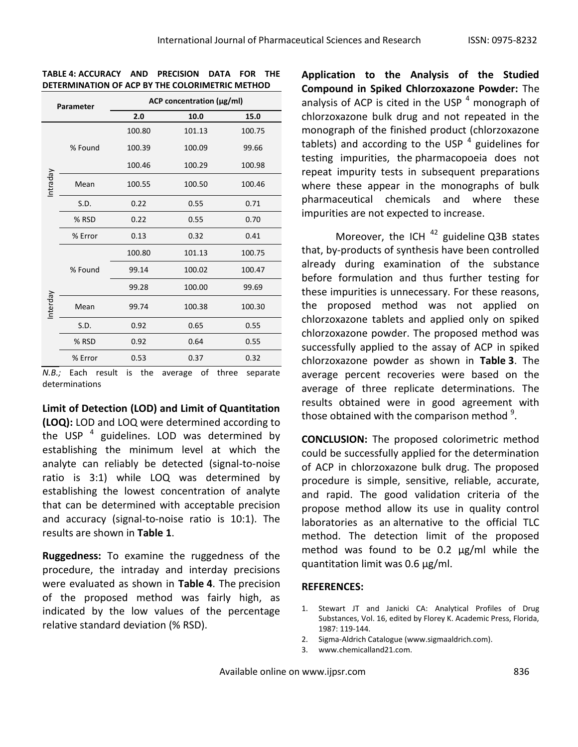| Parameter |                      | ACP concentration (µg/ml) |        |        |  |
|-----------|----------------------|---------------------------|--------|--------|--|
|           |                      | 2.0                       | 10.0   | 15.0   |  |
| Intraday  | % Found              | 100.80                    | 101.13 | 100.75 |  |
|           |                      | 100.39                    | 100.09 | 99.66  |  |
|           |                      | 100.46                    | 100.29 | 100.98 |  |
|           | Mean                 | 100.55                    | 100.50 | 100.46 |  |
|           | 0.22<br>S.D.<br>0.55 |                           |        | 0.71   |  |
|           | % RSD                | 0.22                      | 0.55   | 0.70   |  |
|           | % Error              | 0.13                      | 0.32   | 0.41   |  |
| Interday  | % Found              | 100.80                    | 101.13 | 100.75 |  |
|           |                      | 99.14                     | 100.02 | 100.47 |  |
|           |                      | 99.28                     | 100.00 | 99.69  |  |
|           | Mean                 | 99.74                     | 100.38 | 100.30 |  |
|           | S.D.                 | 0.92                      | 0.65   | 0.55   |  |
|           | % RSD                | 0.92                      | 0.64   | 0.55   |  |
|           | % Error              | 0.53                      | 0.37   | 0.32   |  |

**TABLE 4: ACCURACY AND PRECISION DATA FOR THE DETERMINATION OF ACP BY THE COLORIMETRIC METHOD**

*N.B.;* Each result is the average of three separate determinations

**Limit of Detection (LOD) and Limit of Quantitation (LOQ):** LOD and LOQ were determined according to the USP  $<sup>4</sup>$  guidelines. LOD was determined by</sup> establishing the minimum level at which the analyte can reliably be detected (signal-to-noise ratio is 3:1) while LOQ was determined by establishing the lowest concentration of analyte that can be determined with acceptable precision and accuracy (signal-to-noise ratio is 10:1). The results are shown in **Table 1**.

**Ruggedness:** To examine the ruggedness of the procedure, the intraday and interday precisions were evaluated as shown in **Table 4**. The precision of the proposed method was fairly high, as indicated by the low values of the percentage relative standard deviation (% RSD).

**Application to the Analysis of the Studied Compound in Spiked Chlorzoxazone Powder:** The analysis of ACP is cited in the USP  $<sup>4</sup>$  monograph of</sup> chlorzoxazone bulk drug and not repeated in the monograph of the finished product (chlorzoxazone tablets) and according to the USP  $^4$  guidelines for testing impurities, the pharmacopoeia does not repeat impurity tests in subsequent preparations where these appear in the monographs of bulk pharmaceutical chemicals and where these impurities are not expected to increase.

Moreover, the ICH  $42$  guideline Q3B states that, by-products of synthesis have been controlled already during examination of the substance before formulation and thus further testing for these impurities is unnecessary. For these reasons, the proposed method was not applied on chlorzoxazone tablets and applied only on spiked chlorzoxazone powder. The proposed method was successfully applied to the assay of ACP in spiked chlorzoxazone powder as shown in **Table 3**. The average percent recoveries were based on the average of three replicate determinations. The results obtained were in good agreement with those obtained with the comparison method  $9$ .

**CONCLUSION:** The proposed colorimetric method could be successfully applied for the determination of ACP in chlorzoxazone bulk drug. The proposed procedure is simple, sensitive, reliable, accurate, and rapid. The good validation criteria of the propose method allow its use in quality control laboratories as an alternative to the official TLC method. The detection limit of the proposed method was found to be 0.2  $\mu$ g/ml while the quantitation limit was 0.6 µg/ml.

### **REFERENCES:**

- 1. Stewart JT and Janicki CA: Analytical Profiles of Drug Substances, Vol. 16, edited by Florey K. Academic Press, Florida, 1987: 119-144.
- 2. Sigma-Aldrich Catalogue (www.sigmaaldrich.com).
- 3. www.chemicalland21.com.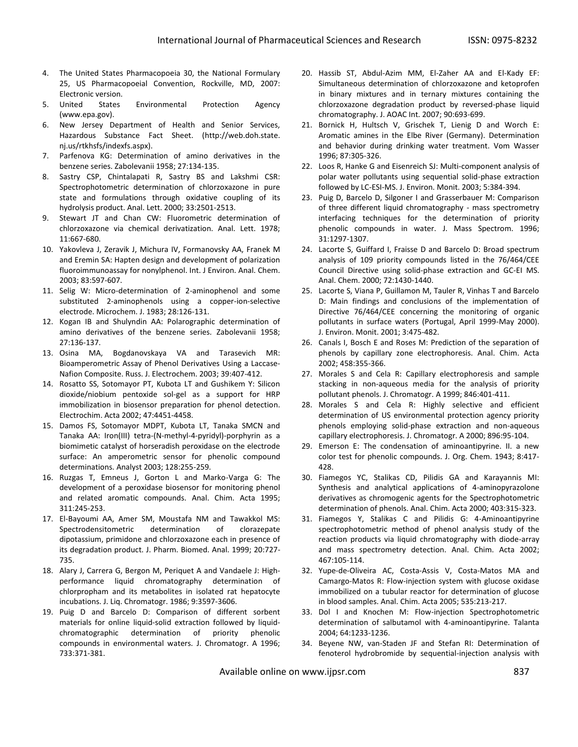- 4. The United States Pharmacopoeia 30, the National Formulary 25, US Pharmacopoeial Convention, Rockville, MD, 2007: Electronic version.
- 5. United States Environmental Protection Agency (www.epa.gov).
- 6. New Jersey Department of Health and Senior Services, Hazardous Substance Fact Sheet. (http://web.doh.state. nj.us/rtkhsfs/indexfs.aspx).
- 7. Parfenova KG: Determination of amino derivatives in the benzene series. Zabolevanii 1958; 27:134-135.
- 8. Sastry CSP, Chintalapati R, Sastry BS and Lakshmi CSR: Spectrophotometric determination of chlorzoxazone in pure state and formulations through oxidative coupling of its hydrolysis product. Anal. Lett. 2000; 33:2501-2513.
- 9. Stewart JT and Chan CW: Fluorometric determination of chlorzoxazone via chemical derivatization. Anal. Lett. 1978; 11:667-680.
- 10. Yakovleva J, Zeravik J, Michura IV, Formanovsky AA, Franek M and Eremin SA: Hapten design and development of polarization fluoroimmunoassay for nonylphenol. Int. J Environ. Anal. Chem. 2003; 83:597-607.
- 11. Selig W: Micro-determination of 2-aminophenol and some substituted 2-aminophenols using a copper-ion-selective electrode. Microchem. J. 1983; 28:126-131.
- 12. Kogan IB and Shulyndin AA: Polarographic determination of amino derivatives of the benzene series. Zabolevanii 1958; 27:136-137.
- 13. Osina MA, Bogdanovskaya VA and Tarasevich MR: Bioamperometric Assay of Phenol Derivatives Using a Laccase-Nafion Composite. Russ. J. Electrochem. 2003; 39:407-412.
- 14. Rosatto SS, Sotomayor PT, Kubota LT and Gushikem Y: Silicon dioxide/niobium pentoxide sol-gel as a support for HRP immobilization in biosensor preparation for phenol detection. Electrochim. Acta 2002; 47:4451-4458.
- 15. Damos FS, Sotomayor MDPT, Kubota LT, Tanaka SMCN and Tanaka AA: Iron(III) tetra-(N-methyl-4-pyridyl)-porphyrin as a biomimetic catalyst of horseradish peroxidase on the electrode surface: An amperometric sensor for phenolic compound determinations. Analyst 2003; 128:255-259.
- 16. Ruzgas T, Emneus J, Gorton L and Marko-Varga G: The development of a peroxidase biosensor for monitoring phenol and related aromatic compounds. Anal. Chim. Acta 1995; 311:245-253.
- 17. El-Bayoumi AA, Amer SM, Moustafa NM and Tawakkol MS: Spectrodensitometric determination of clorazepate dipotassium, primidone and chlorzoxazone each in presence of its degradation product. J. Pharm. Biomed. Anal. 1999; 20:727- 735.
- 18. Alary J, Carrera G, Bergon M, Periquet A and Vandaele J: Highperformance liquid chromatography determination of chlorpropham and its metabolites in isolated rat hepatocyte incubations. J. Liq. Chromatogr. 1986; 9:3597-3606.
- 19. Puig D and Barcelo D: Comparison of different sorbent materials for online liquid-solid extraction followed by liquidchromatographic determination of priority phenolic compounds in environmental waters. J. Chromatogr. A 1996; 733:371-381.
- 20. Hassib ST, Abdul-Azim MM, El-Zaher AA and El-Kady EF: Simultaneous determination of chlorzoxazone and ketoprofen in binary mixtures and in ternary mixtures containing the chlorzoxazone degradation product by reversed-phase liquid chromatography. J. AOAC Int. 2007; 90:693-699.
- 21. Bornick H, Hultsch V, Grischek T, Lienig D and Worch E: Aromatic amines in the Elbe River (Germany). Determination and behavior during drinking water treatment. Vom Wasser 1996; 87:305-326.
- 22. Loos R, Hanke G and Eisenreich SJ: Multi-component analysis of polar water pollutants using sequential solid-phase extraction followed by LC-ESI-MS. J. Environ. Monit. 2003; 5:384-394.
- 23. Puig D, Barcelo D, Silgoner I and Grasserbauer M: Comparison of three different liquid chromatography - mass spectrometry interfacing techniques for the determination of priority phenolic compounds in water. J. Mass Spectrom. 1996; 31:1297-1307.
- 24. Lacorte S, Guiffard I, Fraisse D and Barcelo D: Broad spectrum analysis of 109 priority compounds listed in the 76/464/CEE Council Directive using solid-phase extraction and GC-EI MS. Anal. Chem. 2000; 72:1430-1440.
- 25. Lacorte S, Viana P, Guillamon M, Tauler R, Vinhas T and Barcelo D: Main findings and conclusions of the implementation of Directive 76/464/CEE concerning the monitoring of organic pollutants in surface waters (Portugal, April 1999-May 2000). J. Environ. Monit. 2001; 3:475-482.
- 26. Canals I, Bosch E and Roses M: Prediction of the separation of phenols by capillary zone electrophoresis. Anal. Chim. Acta 2002; 458:355-366.
- 27. Morales S and Cela R: Capillary electrophoresis and sample stacking in non-aqueous media for the analysis of priority pollutant phenols. J. Chromatogr. A 1999; 846:401-411.
- 28. Morales S and Cela R: Highly selective and efficient determination of US environmental protection agency priority phenols employing solid-phase extraction and non-aqueous capillary electrophoresis. J. Chromatogr. A 2000; 896:95-104.
- 29. Emerson E: The condensation of aminoantipyrine. II. a new color test for phenolic compounds. J. Org. Chem. 1943; 8:417- 428.
- 30. Fiamegos YC, Stalikas CD, Pilidis GA and Karayannis MI: Synthesis and analytical applications of 4-aminopyrazolone derivatives as chromogenic agents for the Spectrophotometric determination of phenols. Anal. Chim. Acta 2000; 403:315-323.
- 31. Fiamegos Y, Stalikas C and Pilidis G: 4-Aminoantipyrine spectrophotometric method of phenol analysis study of the reaction products via liquid chromatography with diode-array and mass spectrometry detection. Anal. Chim. Acta 2002; 467:105-114.
- 32. Yupe-de-Oliveira AC, Costa-Assis V, Costa-Matos MA and Camargo-Matos R: Flow-injection system with glucose oxidase immobilized on a tubular reactor for determination of glucose in blood samples. Anal. Chim. Acta 2005; 535:213-217.
- 33. Dol I and Knochen M: Flow-injection Spectrophotometric determination of salbutamol with 4-aminoantipyrine. Talanta 2004; 64:1233-1236.
- 34. Beyene NW, van-Staden JF and Stefan RI: Determination of fenoterol hydrobromide by sequential-injection analysis with